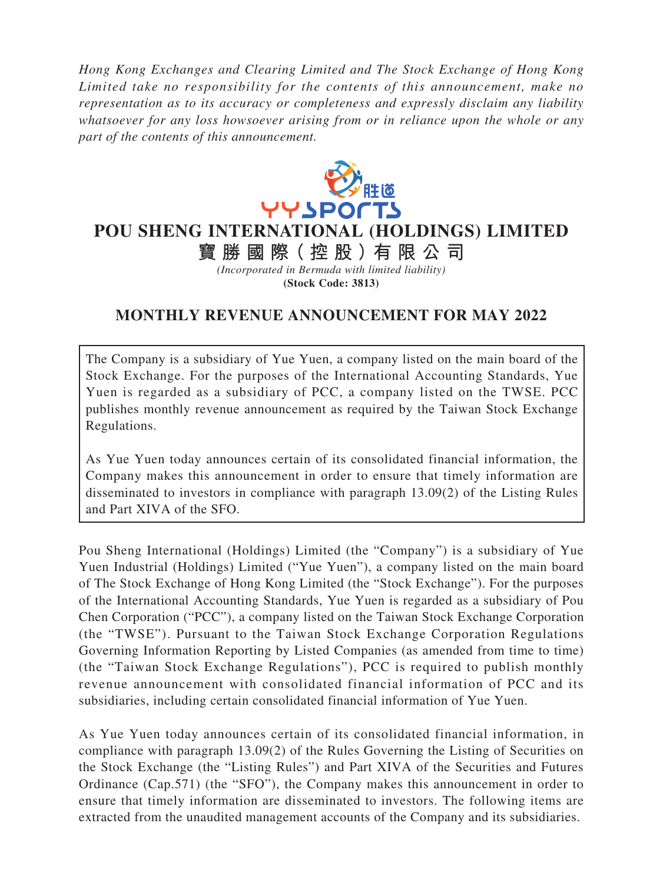*Hong Kong Exchanges and Clearing Limited and The Stock Exchange of Hong Kong Limited take no responsibility for the contents of this announcement, make no representation as to its accuracy or completeness and expressly disclaim any liability whatsoever for any loss howsoever arising from or in reliance upon the whole or any part of the contents of this announcement.*



**POU SHENG INTERNATIONAL (HOLDINGS) LIMITED**

**寶勝國際( 控 股 )有 限公司** *(Incorporated in Bermuda with limited liability)* **(Stock Code: 3813)**

## **MONTHLY REVENUE ANNOUNCEMENT FOR MAY 2022**

The Company is a subsidiary of Yue Yuen, a company listed on the main board of the Stock Exchange. For the purposes of the International Accounting Standards, Yue Yuen is regarded as a subsidiary of PCC, a company listed on the TWSE. PCC publishes monthly revenue announcement as required by the Taiwan Stock Exchange Regulations.

As Yue Yuen today announces certain of its consolidated financial information, the Company makes this announcement in order to ensure that timely information are disseminated to investors in compliance with paragraph 13.09(2) of the Listing Rules and Part XIVA of the SFO.

Pou Sheng International (Holdings) Limited (the "Company") is a subsidiary of Yue Yuen Industrial (Holdings) Limited ("Yue Yuen"), a company listed on the main board of The Stock Exchange of Hong Kong Limited (the "Stock Exchange"). For the purposes of the International Accounting Standards, Yue Yuen is regarded as a subsidiary of Pou Chen Corporation ("PCC"), a company listed on the Taiwan Stock Exchange Corporation (the "TWSE"). Pursuant to the Taiwan Stock Exchange Corporation Regulations Governing Information Reporting by Listed Companies (as amended from time to time) (the "Taiwan Stock Exchange Regulations"), PCC is required to publish monthly revenue announcement with consolidated financial information of PCC and its subsidiaries, including certain consolidated financial information of Yue Yuen.

As Yue Yuen today announces certain of its consolidated financial information, in compliance with paragraph 13.09(2) of the Rules Governing the Listing of Securities on the Stock Exchange (the "Listing Rules") and Part XIVA of the Securities and Futures Ordinance (Cap.571) (the "SFO"), the Company makes this announcement in order to ensure that timely information are disseminated to investors. The following items are extracted from the unaudited management accounts of the Company and its subsidiaries.